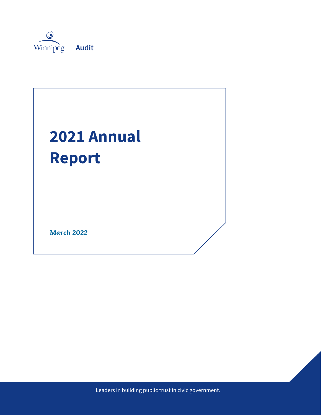

# **2021 Annual Report**

**March 2022** 

City of Winnipeg – Audit Department Winnipeg.ca/audit Leaders in building public trust in civic government.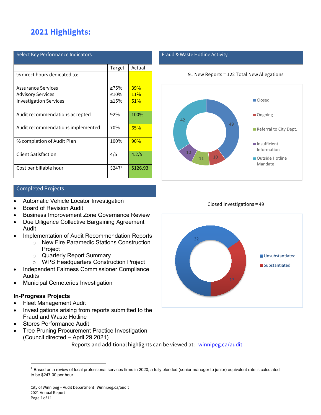# **2021 Highlights:**

| Select Key Performance Indicators |                    |          |  |
|-----------------------------------|--------------------|----------|--|
|                                   | Target             | Actual   |  |
| % direct hours dedicated to:      |                    |          |  |
| Assurance Services                | $\geq 75\%$        | 39%      |  |
| <b>Advisory Services</b>          | $\leq 10\%$        | 11%      |  |
| <b>Investigation Services</b>     | $\leq 15\%$        | 51%      |  |
| Audit recommendations accepted    | 92%                | 100%     |  |
| Audit recommendations implemented | 70%                | 65%      |  |
| % completion of Audit Plan        | 100%               | 90%      |  |
| <b>Client Satisfaction</b>        | 4/5                | 4.2/5    |  |
| Cost per billable hour            | \$247 <sup>1</sup> | \$126.93 |  |

#### Completed Projects

- Automatic Vehicle Locator Investigation
- Board of Revision Audit
- Business Improvement Zone Governance Review
- Due Diligence Collective Bargaining Agreement Audit
- Implementation of Audit Recommendation Reports
	- o New Fire Paramedic Stations Construction **Project**
	- o Quarterly Report Summary
	- o WPS Headquarters Construction Project
- Independent Fairness Commissioner Compliance Audits
- Municipal Cemeteries Investigation

#### **In-Progress Projects**

 $\overline{a}$ 

- Fleet Management Audit
- Investigations arising from reports submitted to the Fraud and Waste Hotline
- Stores Performance Audit
- Tree Pruning Procurement Practice Investigation (Council directed – April 29,2021) Reports and additional highlights can be viewed at: [winnipeg.ca/audit](https://winnipeg.ca/audit/default.stm)

#### Fraud & Waste Hotline Activity





Closed Investigations = 49



<span id="page-1-0"></span> $1$  Based on a review of local professional services firms in 2020, a fully blended (senior manager to junior) equivalent rate is calculated to be \$247.00 per hour.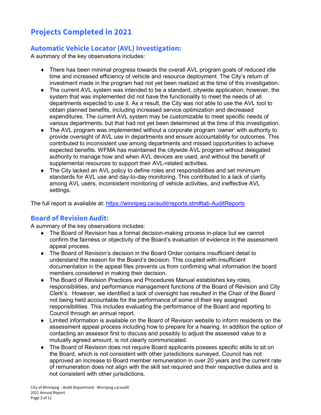# **Projects Completed in 2021**

## **Automatic Vehicle Locator (AVL) Investigation:**

A summary of the key observations includes:

- ♦ There has been minimal progress towards the overall AVL program goals of reduced idle time and increased efficiency of vehicle and resource deployment. The City's return of investment made in the program had not yet been realized at the time of this investigation.
- ♦ The current AVL system was intended to be a standard, citywide application; however, the system that was implemented did not have the functionality to meet the needs of all departments expected to use it. As a result, the City was not able to use the AVL tool to obtain planned benefits, including increased service optimization and decreased expenditures. The current AVL system may be customizable to meet specific needs of various departments, but that had not yet been determined at the time of this investigation.
- ♦ The AVL program was implemented without a corporate program 'owner' with authority to provide oversight of AVL use in departments and ensure accountability for outcomes. This contributed to inconsistent use among departments and missed opportunities to achieve expected benefits. WFMA has maintained the citywide AVL program without delegated authority to manage how and when AVL devices are used, and without the benefit of supplemental resources to support their AVL-related activities.
- ♦ The City lacked an AVL policy to define roles and responsibilities and set minimum standards for AVL use and day-to-day monitoring. This contributed to a lack of clarity among AVL users, inconsistent monitoring of vehicle activities, and ineffective AVL settings.

The full report is available at:<https://winnipeg.ca/audit/reports.stm#tab-AuditReports>

#### **Board of Revision Audit:**

A summary of the key observations includes:

- ♦ The Board of Revision has a formal decision-making process in-place but we cannot confirm the fairness or objectivity of the Board's evaluation of evidence in the assessment appeal process.
- ♦ The Board of Revision's decision in the Board Order contains insufficient detail to understand the reason for the Board's decision. This coupled with insufficient documentation in the appeal files prevents us from confirming what information the board members considered in making their decision.
- ♦ The Board of Revision Practices and Procedures Manual establishes key roles, responsibilities, and performance management functions of the Board of Revision and City Clerk's. However, we identified a lack of oversight has resulted in the Chair of the Board not being held accountable for the performance of some of their key assigned responsibilities. This includes evaluating the performance of the Board and reporting to Council through an annual report.
- ♦ Limited information is available on the Board of Revision website to inform residents on the assessment appeal process including how to prepare for a hearing. In addition the option of contacting an assessor first to discuss and possibly to adjust the assessed value to a mutually agreed amount, is not clearly communicated.
- ♦ The Board of Revision does not require Board applicants possess specific skills to sit on the Board, which is not consistent with other jurisdictions surveyed. Council has not approved an increase to Board member remuneration in over 20 years and the current rate of remuneration does not align with the skill set required and their respective duties and is not consistent with other jurisdictions.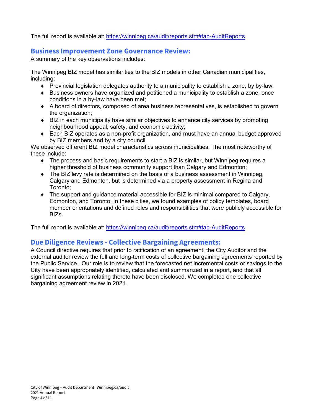The full report is available at:<https://winnipeg.ca/audit/reports.stm#tab-AuditReports>

#### **Business Improvement Zone Governance Review:**

A summary of the key observations includes:

The Winnipeg BIZ model has similarities to the BIZ models in other Canadian municipalities, including:

- $\bullet$  Provincial legislation delegates authority to a municipality to establish a zone, by by-law;
- ♦ Business owners have organized and petitioned a municipality to establish a zone, once conditions in a by-law have been met;
- ♦ A board of directors, composed of area business representatives, is established to govern the organization;
- ♦ BIZ in each municipality have similar objectives to enhance city services by promoting neighbourhood appeal, safety, and economic activity;
- ♦ Each BIZ operates as a non-profit organization, and must have an annual budget approved by BIZ members and by a city council.

We observed different BIZ model characteristics across municipalities. The most noteworthy of these include:

- $\bullet$  The process and basic requirements to start a BIZ is similar, but Winnipeg requires a higher threshold of business community support than Calgary and Edmonton;
- $\bullet$  The BIZ levy rate is determined on the basis of a business assessment in Winnipeg. Calgary and Edmonton, but is determined via a property assessment in Regina and Toronto;
- $\bullet$  The support and guidance material accessible for BIZ is minimal compared to Calgary, Edmonton, and Toronto. In these cities, we found examples of policy templates, board member orientations and defined roles and responsibilities that were publicly accessible for BIZs.

The full report is available at:<https://winnipeg.ca/audit/reports.stm#tab-AuditReports>

## **Due Diligence Reviews - Collective Bargaining Agreements:**

A Council directive requires that prior to ratification of an agreement; the City Auditor and the external auditor review the full and long-term costs of collective bargaining agreements reported by the Public Service. Our role is to review that the forecasted net incremental costs or savings to the City have been appropriately identified, calculated and summarized in a report, and that all significant assumptions relating thereto have been disclosed. We completed one collective bargaining agreement review in 2021.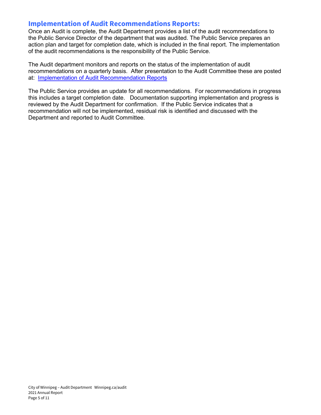#### **Implementation of Audit Recommendations Reports:**

Once an Audit is complete, the Audit Department provides a list of the audit recommendations to the Public Service Director of the department that was audited. The Public Service prepares an action plan and target for completion date, which is included in the final report. The implementation of the audit recommendations is the responsibility of the Public Service.

The Audit department monitors and reports on the status of the implementation of audit recommendations on a quarterly basis. After presentation to the Audit Committee these are posted at: [Implementation of Audit Recommendation Reports](https://winnipeg.ca/audit/reports.stm#tab-QuarterlyReports)

The Public Service provides an update for all recommendations. For recommendations in progress this includes a target completion date. Documentation supporting implementation and progress is reviewed by the Audit Department for confirmation. If the Public Service indicates that a recommendation will not be implemented, residual risk is identified and discussed with the Department and reported to Audit Committee.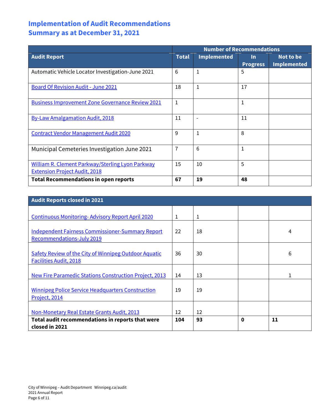## **Implementation of Audit Recommendations Summary as at December 31, 2021**

|                                                                                          | <b>Number of Recommendations</b> |                    |                              |                                 |
|------------------------------------------------------------------------------------------|----------------------------------|--------------------|------------------------------|---------------------------------|
| <b>Audit Report</b>                                                                      | <b>Total</b>                     | <b>Implemented</b> | <u>In</u><br><b>Progress</b> | Not to be<br><b>Implemented</b> |
| Automatic Vehicle Locator Investigation-June 2021                                        | 6                                | 1                  | 5                            |                                 |
| <b>Board Of Revision Audit - June 2021</b>                                               | 18                               | 1                  | 17                           |                                 |
| <b>Business Improvement Zone Governance Review 2021</b>                                  | 1                                |                    | 1                            |                                 |
| <b>By-Law Amalgamation Audit, 2018</b>                                                   | 11                               |                    | 11                           |                                 |
| <b>Contract Vendor Management Audit 2020</b>                                             | 9                                | 1                  | 8                            |                                 |
| Municipal Cemeteries Investigation June 2021                                             | 7                                | 6                  | 1                            |                                 |
| William R. Clement Parkway/Sterling Lyon Parkway<br><b>Extension Project Audit, 2018</b> | 15                               | 10                 | 5                            |                                 |
| <b>Total Recommendations in open reports</b>                                             | 67                               | 19                 | 48                           |                                 |

| <b>Audit Reports closed in 2021</b>                                                           |     |    |   |    |
|-----------------------------------------------------------------------------------------------|-----|----|---|----|
| <b>Continuous Monitoring-Advisory Report April 2020</b>                                       | 1   | 1  |   |    |
| <b>Independent Fairness Commissioner-Summary Report</b><br>Recommendations-July 2019          | 22  | 18 |   | 4  |
| <b>Safety Review of the City of Winnipeg Outdoor Aquatic</b><br><b>Facilities Audit, 2018</b> | 36  | 30 |   | 6  |
| New Fire Paramedic Stations Construction Project, 2013                                        | 14  | 13 |   |    |
| <b>Winnipeg Police Service Headquarters Construction</b><br>Project, 2014                     | 19  | 19 |   |    |
| Non-Monetary Real Estate Grants Audit, 2013                                                   | 12  | 12 |   |    |
| Total audit recommendations in reports that were<br>closed in 2021                            | 104 | 93 | 0 | 11 |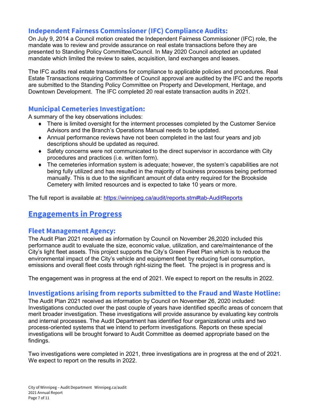## **Independent Fairness Commissioner (IFC) Compliance Audits:**

On July 9, 2014 a Council motion created the Independent Fairness Commissioner (IFC) role, the mandate was to review and provide assurance on real estate transactions before they are presented to Standing Policy Committee/Council. In May 2020 Council adopted an updated mandate which limited the review to sales, acquisition, land exchanges and leases.

The IFC audits real estate transactions for compliance to applicable policies and procedures. Real Estate Transactions requiring Committee of Council approval are audited by the IFC and the reports are submitted to the Standing Policy Committee on Property and Development, Heritage, and Downtown Development. The IFC completed 20 real estate transaction audits in 2021.

## **Municipal Cemeteries Investigation:**

A summary of the key observations includes:

- ♦ There is limited oversight for the interment processes completed by the Customer Service Advisors and the Branch's Operations Manual needs to be updated.
- ♦ Annual performance reviews have not been completed in the last four years and job descriptions should be updated as required.
- ♦ Safety concerns were not communicated to the direct supervisor in accordance with City procedures and practices (i.e. written form).
- ♦ The cemeteries information system is adequate; however, the system's capabilities are not being fully utilized and has resulted in the majority of business processes being performed manually. This is due to the significant amount of data entry required for the Brookside Cemetery with limited resources and is expected to take 10 years or more.

The full report is available at:<https://winnipeg.ca/audit/reports.stm#tab-AuditReports>

## **Engagements in Progress**

#### **Fleet Management Agency:**

The Audit Plan 2021 received as information by Council on November 26,2020 included this performance audit to evaluate the size, economic value, utilization, and care/maintenance of the City's light fleet assets. This project supports the City's Green Fleet Plan which is to reduce the environmental impact of the City's vehicle and equipment fleet by reducing fuel consumption, emissions and overall fleet costs through right-sizing the fleet. The project is in progress and is

The engagement was in progress at the end of 2021. We expect to report on the results in 2022.

#### **Investigations arising from reports submitted to the Fraud and Waste Hotline:**

The Audit Plan 2021 received as information by Council on November 26, 2020 included: Investigations conducted over the past couple of years have identified specific areas of concern that merit broader investigation. These investigations will provide assurance by evaluating key controls and internal processes. The Audit Department has identified four organizational units and two process-oriented systems that we intend to perform investigations. Reports on these special investigations will be brought forward to Audit Committee as deemed appropriate based on the findings.

Two investigations were completed in 2021, three investigations are in progress at the end of 2021. We expect to report on the results in 2022.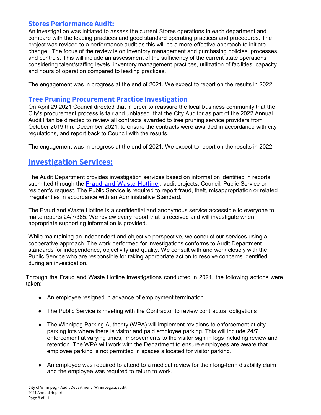#### **Stores Performance Audit:**

An investigation was initiated to assess the current Stores operations in each department and compare with the leading practices and good standard operating practices and procedures. The project was revised to a performance audit as this will be a more effective approach to initiate change. The focus of the review is on inventory management and purchasing policies, processes, and controls. This will include an assessment of the sufficiency of the current state operations considering talent/staffing levels, inventory management practices, utilization of facilities, capacity and hours of operation compared to leading practices.

The engagement was in progress at the end of 2021. We expect to report on the results in 2022.

#### **Tree Pruning Procurement Practice Investigation**

On April 29,2021 Council directed that in order to reassure the local business community that the City's procurement process is fair and unbiased, that the City Auditor as part of the 2022 Annual Audit Plan be directed to review all contracts awarded to tree pruning service providers from October 2019 thru December 2021, to ensure the contracts were awarded in accordance with city regulations, and report back to Council with the results.

The engagement was in progress at the end of 2021. We expect to report on the results in 2022.

## **Investigation Services:**

The Audit Department provides investigation services based on information identified in reports submitted through the [Fraud and Waste Hotline](https://winnipeg.ca/audit/hotline.stm) , audit projects, Council, Public Service or resident's request. The Public Service is required to report fraud, theft, misappropriation or related irregularities in accordance with an Administrative Standard.

The Fraud and Waste Hotline is a confidential and anonymous service accessible to everyone to make reports 24/7/365. We review every report that is received and will investigate when appropriate supporting information is provided.

While maintaining an independent and objective perspective, we conduct our services using a cooperative approach. The work performed for investigations conforms to Audit Department standards for independence, objectivity and quality. We consult with and work closely with the Public Service who are responsible for taking appropriate action to resolve concerns identified during an investigation.

Through the Fraud and Waste Hotline investigations conducted in 2021, the following actions were taken:

- ♦ An employee resigned in advance of employment termination
- The Public Service is meeting with the Contractor to review contractual obligations
- ♦ The Winnipeg Parking Authority (WPA) will implement revisions to enforcement at city parking lots where there is visitor and paid employee parking. This will include 24/7 enforcement at varying times, improvements to the visitor sign in logs including review and retention. The WPA will work with the Department to ensure employees are aware that employee parking is not permitted in spaces allocated for visitor parking.
- ♦ An employee was required to attend to a medical review for their long-term disability claim and the employee was required to return to work.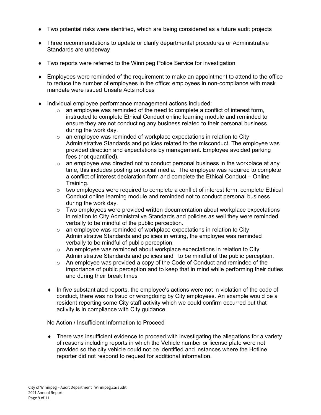- ♦ Two potential risks were identified, which are being considered as a future audit projects
- ♦ Three recommendations to update or clarify departmental procedures or Administrative Standards are underway
- ♦ Two reports were referred to the Winnipeg Police Service for investigation
- ♦ Employees were reminded of the requirement to make an appointment to attend to the office to reduce the number of employees in the office; employees in non-compliance with mask mandate were issued Unsafe Acts notices
- ♦ Individual employee performance management actions included:
	- $\circ$  an employee was reminded of the need to complete a conflict of interest form, instructed to complete Ethical Conduct online learning module and reminded to ensure they are not conducting any business related to their personal business during the work day.
	- $\circ$  an employee was reminded of workplace expectations in relation to City Administrative Standards and policies related to the misconduct. The employee was provided direction and expectations by management. Employee avoided parking fees (not quantified).
	- $\circ$  an employee was directed not to conduct personal business in the workplace at any time, this includes posting on social media. The employee was required to complete a conflict of interest declaration form and complete the Ethical Conduct – Online Training.
	- $\circ$  two employees were required to complete a conflict of interest form, complete Ethical Conduct online learning module and reminded not to conduct personal business during the work day.
	- $\circ$  Two employees were provided written documentation about workplace expectations in relation to City Administrative Standards and policies as well they were reminded verbally to be mindful of the public perception.
	- $\circ$  an employee was reminded of workplace expectations in relation to City Administrative Standards and policies in writing, the employee was reminded verbally to be mindful of public perception.
	- $\circ$  An employee was reminded about workplace expectations in relation to City Administrative Standards and policies and to be mindful of the public perception.
	- $\circ$  An employee was provided a copy of the Code of Conduct and reminded of the importance of public perception and to keep that in mind while performing their duties and during their break times
	- ♦ In five substantiated reports, the employee's actions were not in violation of the code of conduct, there was no fraud or wrongdoing by City employees. An example would be a resident reporting some City staff activity which we could confirm occurred but that activity is in compliance with City guidance.

No Action / Insufficient Information to Proceed

♦ There was insufficient evidence to proceed with investigating the allegations for a variety of reasons including reports in which the Vehicle number or license plate were not provided so the city vehicle could not be identified and instances where the Hotline reporter did not respond to request for additional information.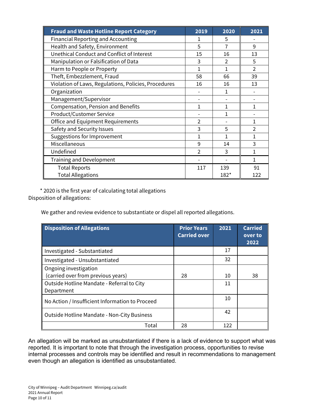| <b>Fraud and Waste Hotline Report Category</b>       | 2019           | 2020           | 2021           |
|------------------------------------------------------|----------------|----------------|----------------|
| <b>Financial Reporting and Accounting</b>            | 1              | 5              |                |
| Health and Safety, Environment                       | 5              | 7              | 9              |
| Unethical Conduct and Conflict of Interest           | 15             | 16             | 13             |
| Manipulation or Falsification of Data                | 3              | $\mathfrak{D}$ | 5              |
| Harm to People or Property                           | 1              | 1              | $\mathfrak{D}$ |
| Theft, Embezzlement, Fraud                           | 58             | 66             | 39             |
| Violation of Laws, Regulations, Policies, Procedures | 16             | 16             | 13             |
| Organization                                         |                | 1              |                |
| Management/Supervisor                                |                |                |                |
| <b>Compensation, Pension and Benefits</b>            |                | 1              | 1              |
| <b>Product/Customer Service</b>                      |                | 1              |                |
| <b>Office and Equipment Requirements</b>             | C              |                | 1              |
| Safety and Security Issues                           | 3              | 5              | 2              |
| Suggestions for Improvement                          |                | 1              | 1              |
| Miscellaneous                                        | 9              | 14             | 3              |
| Undefined                                            | $\mathfrak{p}$ | 3              | 1              |
| <b>Training and Development</b>                      |                |                | 1              |
| <b>Total Reports</b>                                 | 117            | 139            | 91             |
| <b>Total Allegations</b>                             |                | $182*$         | 122            |

 \* 2020 is the first year of calculating total allegations Disposition of allegations:

We gather and review evidence to substantiate or dispel all reported allegations.

| <b>Disposition of Allegations</b>                                                                                       | <b>Prior Years</b><br><b>Carried over</b> | 2021     | <b>Carried</b><br>over to<br>2022 |
|-------------------------------------------------------------------------------------------------------------------------|-------------------------------------------|----------|-----------------------------------|
| Investigated - Substantiated                                                                                            |                                           | 17       |                                   |
| Investigated - Unsubstantiated                                                                                          |                                           | 32       |                                   |
| Ongoing investigation<br>(carried over from previous years)<br>Outside Hotline Mandate - Referral to City<br>Department | 28                                        | 10<br>11 | 38                                |
| No Action / Insufficient Information to Proceed                                                                         |                                           | 10       |                                   |
| <b>Outside Hotline Mandate - Non-City Business</b>                                                                      |                                           | 42       |                                   |
| Total                                                                                                                   | 28                                        | 122      |                                   |

An allegation will be marked as unsubstantiated if there is a lack of evidence to support what was reported. It is important to note that through the investigation process, opportunities to revise internal processes and controls may be identified and result in recommendations to management even though an allegation is identified as unsubstantiated.